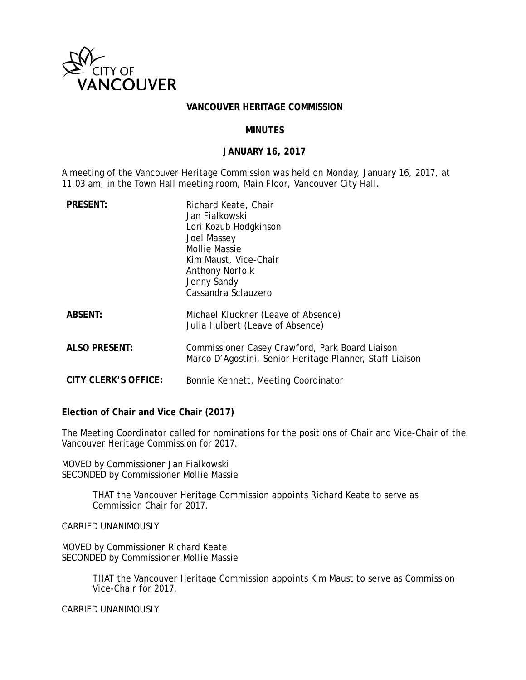

#### **VANCOUVER HERITAGE COMMISSION**

### **MINUTES**

#### **JANUARY 16, 2017**

A meeting of the Vancouver Heritage Commission was held on Monday, January 16, 2017, at 11:03 am, in the Town Hall meeting room, Main Floor, Vancouver City Hall.

| <b>PRESENT:</b>      | Richard Keate, Chair<br>Jan Fialkowski<br>Lori Kozub Hodgkinson<br>Joel Massey<br><b>Mollie Massie</b><br>Kim Maust, Vice-Chair<br><b>Anthony Norfolk</b><br>Jenny Sandy<br>Cassandra Sclauzero |
|----------------------|-------------------------------------------------------------------------------------------------------------------------------------------------------------------------------------------------|
| <b>ABSENT:</b>       | Michael Kluckner (Leave of Absence)<br>Julia Hulbert (Leave of Absence)                                                                                                                         |
| <b>ALSO PRESENT:</b> | Commissioner Casey Crawford, Park Board Liaison<br>Marco D'Agostini, Senior Heritage Planner, Staff Liaison                                                                                     |
| CITY CLERK'S OFFICE: | Bonnie Kennett, Meeting Coordinator                                                                                                                                                             |

**Election of Chair and Vice Chair (2017)**

The Meeting Coordinator called for nominations for the positions of Chair and Vice-Chair of the Vancouver Heritage Commission for 2017.

MOVED by Commissioner Jan Fialkowski SECONDED by Commissioner Mollie Massie

> THAT the Vancouver Heritage Commission appoints Richard Keate to serve as Commission Chair for 2017.

CARRIED UNANIMOUSLY

MOVED by Commissioner Richard Keate SECONDED by Commissioner Mollie Massie

> THAT the Vancouver Heritage Commission appoints Kim Maust to serve as Commission Vice-Chair for 2017.

CARRIED UNANIMOUSLY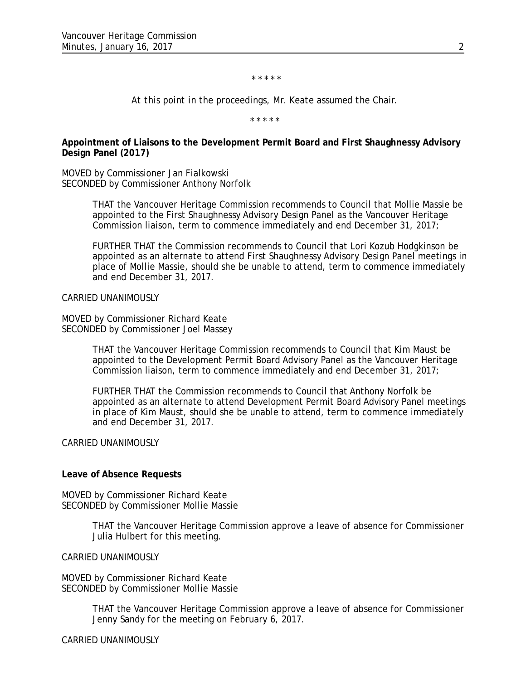\* \* \* \* \*

*At this point in the proceedings, Mr. Keate assumed the Chair.*

*\* \* \* \* \**

**Appointment of Liaisons to the Development Permit Board and First Shaughnessy Advisory Design Panel (2017)**

MOVED by Commissioner Jan Fialkowski SECONDED by Commissioner Anthony Norfolk

> THAT the Vancouver Heritage Commission recommends to Council that Mollie Massie be appointed to the First Shaughnessy Advisory Design Panel as the Vancouver Heritage Commission liaison, term to commence immediately and end December 31, 2017;

> FURTHER THAT the Commission recommends to Council that Lori Kozub Hodgkinson be appointed as an alternate to attend First Shaughnessy Advisory Design Panel meetings in place of Mollie Massie, should she be unable to attend, term to commence immediately and end December 31, 2017.

CARRIED UNANIMOUSLY

MOVED by Commissioner Richard Keate SECONDED by Commissioner Joel Massey

> THAT the Vancouver Heritage Commission recommends to Council that Kim Maust be appointed to the Development Permit Board Advisory Panel as the Vancouver Heritage Commission liaison, term to commence immediately and end December 31, 2017;

FURTHER THAT the Commission recommends to Council that Anthony Norfolk be appointed as an alternate to attend Development Permit Board Advisory Panel meetings in place of Kim Maust, should she be unable to attend, term to commence immediately and end December 31, 2017.

CARRIED UNANIMOUSLY

#### **Leave of Absence Requests**

MOVED by Commissioner Richard Keate SECONDED by Commissioner Mollie Massie

> THAT the Vancouver Heritage Commission approve a leave of absence for Commissioner Julia Hulbert for this meeting.

CARRIED UNANIMOUSLY

MOVED by Commissioner Richard Keate SECONDED by Commissioner Mollie Massie

> THAT the Vancouver Heritage Commission approve a leave of absence for Commissioner Jenny Sandy for the meeting on February 6, 2017.

CARRIED UNANIMOUSLY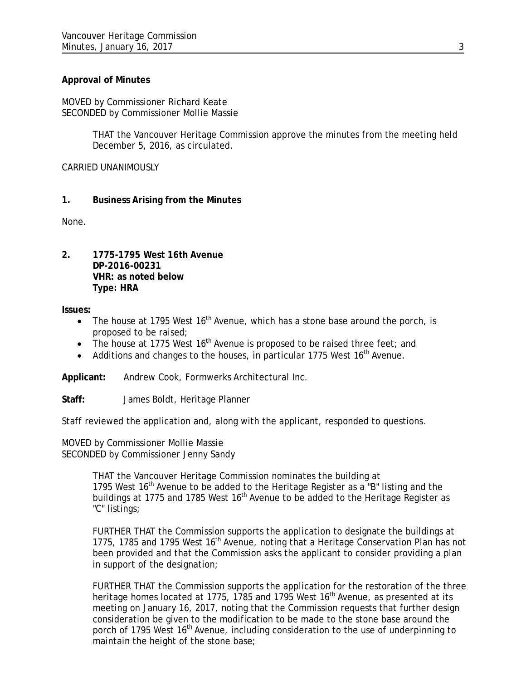# **Approval of Minutes**

MOVED by Commissioner Richard Keate SECONDED by Commissioner Mollie Massie

> THAT the Vancouver Heritage Commission approve the minutes from the meeting held December 5, 2016, as circulated.

CARRIED UNANIMOUSLY

# **1. Business Arising from the Minutes**

None.

**2. 1775-1795 West 16th Avenue DP-2016-00231 VHR: as noted below Type: HRA**

**Issues:**

- The house at 1795 West  $16<sup>th</sup>$  Avenue, which has a stone base around the porch, is proposed to be raised;
- The house at 1775 West  $16<sup>th</sup>$  Avenue is proposed to be raised three feet; and
- Additions and changes to the houses, in particular 1775 West  $16<sup>th</sup>$  Avenue.

**Applicant:** Andrew Cook, Formwerks Architectural Inc.

**Staff:** James Boldt, Heritage Planner

Staff reviewed the application and, along with the applicant, responded to questions.

MOVED by Commissioner Mollie Massie SECONDED by Commissioner Jenny Sandy

> THAT the Vancouver Heritage Commission nominates the building at 1795 West  $16<sup>th</sup>$  Avenue to be added to the Heritage Register as a "B" listing and the buildings at 1775 and 1785 West  $16<sup>th</sup>$  Avenue to be added to the Heritage Register as "C" listings;

FURTHER THAT the Commission supports the application to designate the buildings at 1775, 1785 and 1795 West 16<sup>th</sup> Avenue, noting that a Heritage Conservation Plan has not been provided and that the Commission asks the applicant to consider providing a plan in support of the designation;

FURTHER THAT the Commission supports the application for the restoration of the three heritage homes located at 1775, 1785 and 1795 West  $16<sup>th</sup>$  Avenue, as presented at its meeting on January 16, 2017, noting that the Commission requests that further design consideration be given to the modification to be made to the stone base around the porch of 1795 West 16<sup>th</sup> Avenue, including consideration to the use of underpinning to maintain the height of the stone base;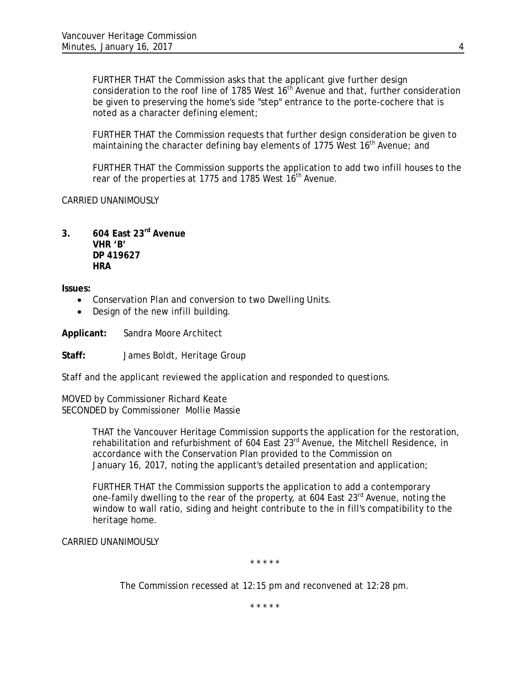FURTHER THAT the Commission asks that the applicant give further design consideration to the roof line of 1785 West  $16<sup>th</sup>$  Avenue and that, further consideration be given to preserving the home's side "step" entrance to the porte-cochere that is noted as a character defining element;

FURTHER THAT the Commission requests that further design consideration be given to maintaining the character defining bay elements of 1775 West 16<sup>th</sup> Avenue; and

FURTHER THAT the Commission supports the application to add two infill houses to the rear of the properties at 1775 and 1785 West 16<sup>th</sup> Avenue.

CARRIED UNANIMOUSLY

**3. 604 East 23rd Avenue VHR 'B' DP 419627 HRA**

**Issues:**

- Conservation Plan and conversion to two Dwelling Units.
- Design of the new infill building.

**Applicant:** Sandra Moore Architect

**Staff:** James Boldt, Heritage Group

Staff and the applicant reviewed the application and responded to questions.

MOVED by Commissioner Richard Keate SECONDED by Commissioner Mollie Massie

> THAT the Vancouver Heritage Commission supports the application for the restoration, rehabilitation and refurbishment of 604 East 23<sup>rd</sup> Avenue, the Mitchell Residence, in accordance with the Conservation Plan provided to the Commission on January 16, 2017, noting the applicant's detailed presentation and application;

FURTHER THAT the Commission supports the application to add a contemporary one-family dwelling to the rear of the property, at 604 East 23<sup>rd</sup> Avenue, noting the window to wall ratio, siding and height contribute to the in fill's compatibility to the heritage home.

CARRIED UNANIMOUSLY

*\* \* \* \* \**

*The Commission recessed at 12:15 pm and reconvened at 12:28 pm.*

*\* \* \* \* \**